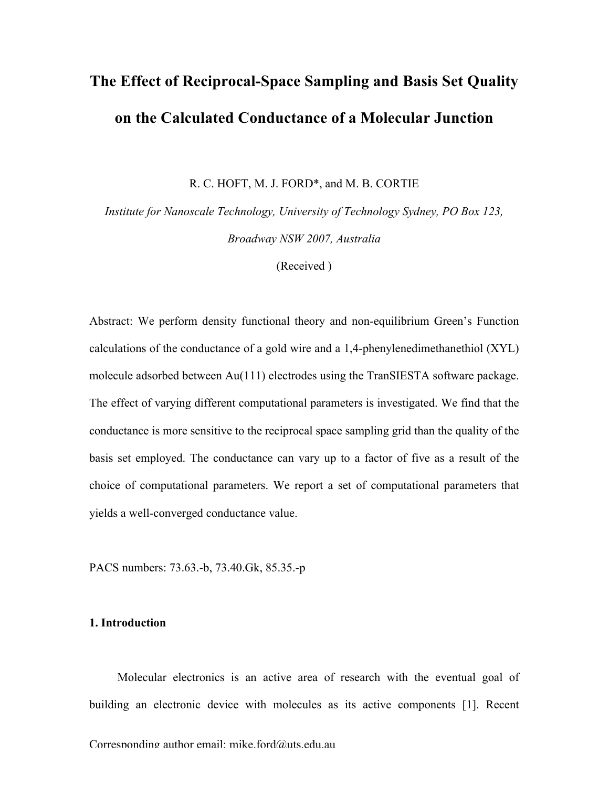# **The Effect of Reciprocal-Space Sampling and Basis Set Quality on the Calculated Conductance of a Molecular Junction**

R. C. HOFT, M. J. FORD\*, and M. B. CORTIE

*Institute for Nanoscale Technology, University of Technology Sydney, PO Box 123, Broadway NSW 2007, Australia*

(Received )

Abstract: We perform density functional theory and non-equilibrium Green's Function calculations of the conductance of a gold wire and a 1,4-phenylenedimethanethiol (XYL) molecule adsorbed between Au(111) electrodes using the TranSIESTA software package. The effect of varying different computational parameters is investigated. We find that the conductance is more sensitive to the reciprocal space sampling grid than the quality of the basis set employed. The conductance can vary up to a factor of five as a result of the choice of computational parameters. We report a set of computational parameters that yields a well-converged conductance value.

PACS numbers: 73.63.-b, 73.40.Gk, 85.35.-p

## **1. Introduction**

Molecular electronics is an active area of research with the eventual goal of building an electronic device with molecules as its active components [1]. Recent

Corresponding author email: mike ford $\omega$ uts edu au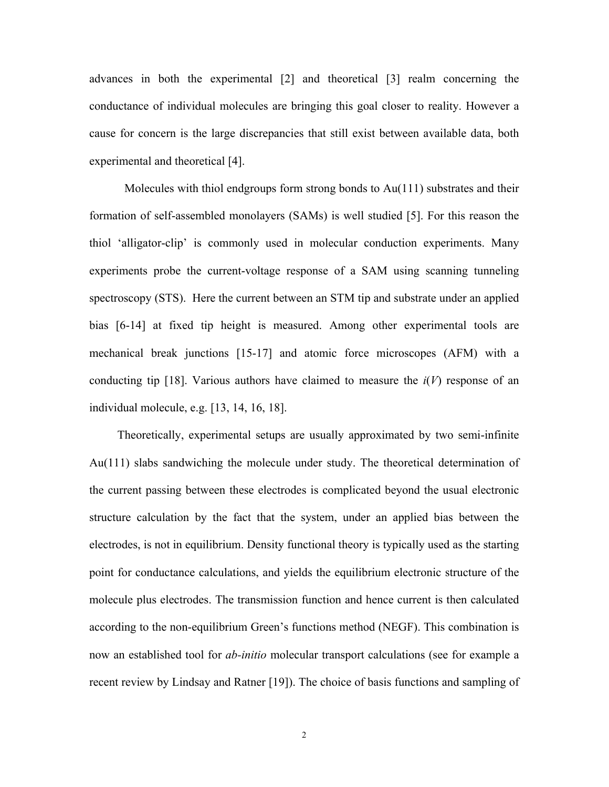advances in both the experimental [2] and theoretical [3] realm concerning the conductance of individual molecules are bringing this goal closer to reality. However a cause for concern is the large discrepancies that still exist between available data, both experimental and theoretical [4].

Molecules with thiol endgroups form strong bonds to  $Au(111)$  substrates and their formation of self-assembled monolayers (SAMs) is well studied [5]. For this reason the thiol 'alligator-clip' is commonly used in molecular conduction experiments. Many experiments probe the current-voltage response of a SAM using scanning tunneling spectroscopy (STS). Here the current between an STM tip and substrate under an applied bias [6-14] at fixed tip height is measured. Among other experimental tools are mechanical break junctions [15-17] and atomic force microscopes (AFM) with a conducting tip [18]. Various authors have claimed to measure the  $i(V)$  response of an individual molecule, e.g. [13, 14, 16, 18].

Theoretically, experimental setups are usually approximated by two semi-infinite Au(111) slabs sandwiching the molecule under study. The theoretical determination of the current passing between these electrodes is complicated beyond the usual electronic structure calculation by the fact that the system, under an applied bias between the electrodes, is not in equilibrium. Density functional theory is typically used as the starting point for conductance calculations, and yields the equilibrium electronic structure of the molecule plus electrodes. The transmission function and hence current is then calculated according to the non-equilibrium Green's functions method (NEGF). This combination is now an established tool for *ab-initio* molecular transport calculations (see for example a recent review by Lindsay and Ratner [19]). The choice of basis functions and sampling of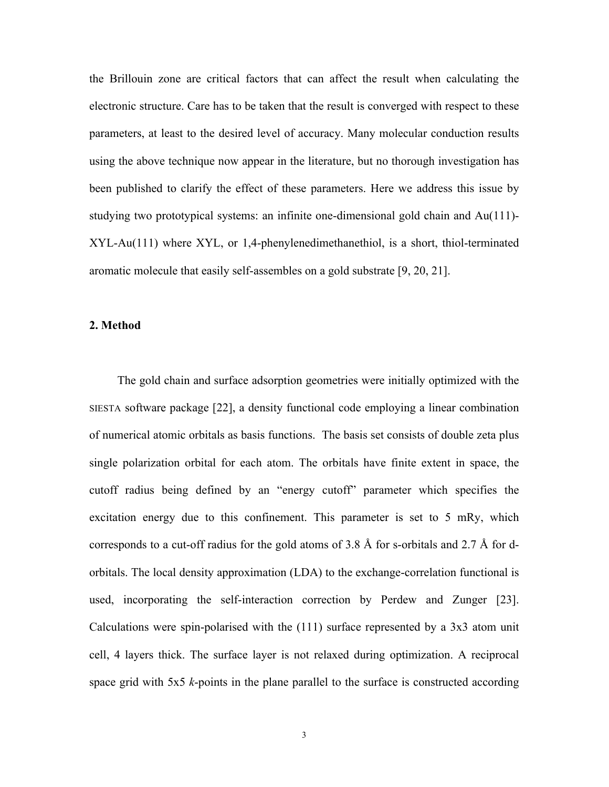the Brillouin zone are critical factors that can affect the result when calculating the electronic structure. Care has to be taken that the result is converged with respect to these parameters, at least to the desired level of accuracy. Many molecular conduction results using the above technique now appear in the literature, but no thorough investigation has been published to clarify the effect of these parameters. Here we address this issue by studying two prototypical systems: an infinite one-dimensional gold chain and Au(111)- XYL-Au(111) where XYL, or 1,4-phenylenedimethanethiol, is a short, thiol-terminated aromatic molecule that easily self-assembles on a gold substrate [9, 20, 21].

#### **2. Method**

The gold chain and surface adsorption geometries were initially optimized with the SIESTA software package [22], a density functional code employing a linear combination of numerical atomic orbitals as basis functions. The basis set consists of double zeta plus single polarization orbital for each atom. The orbitals have finite extent in space, the cutoff radius being defined by an "energy cutoff" parameter which specifies the excitation energy due to this confinement. This parameter is set to 5 mRy, which corresponds to a cut-off radius for the gold atoms of 3.8 Å for s-orbitals and 2.7 Å for dorbitals. The local density approximation (LDA) to the exchange-correlation functional is used, incorporating the self-interaction correction by Perdew and Zunger [23]. Calculations were spin-polarised with the (111) surface represented by a 3x3 atom unit cell, 4 layers thick. The surface layer is not relaxed during optimization. A reciprocal space grid with 5x5 *k*-points in the plane parallel to the surface is constructed according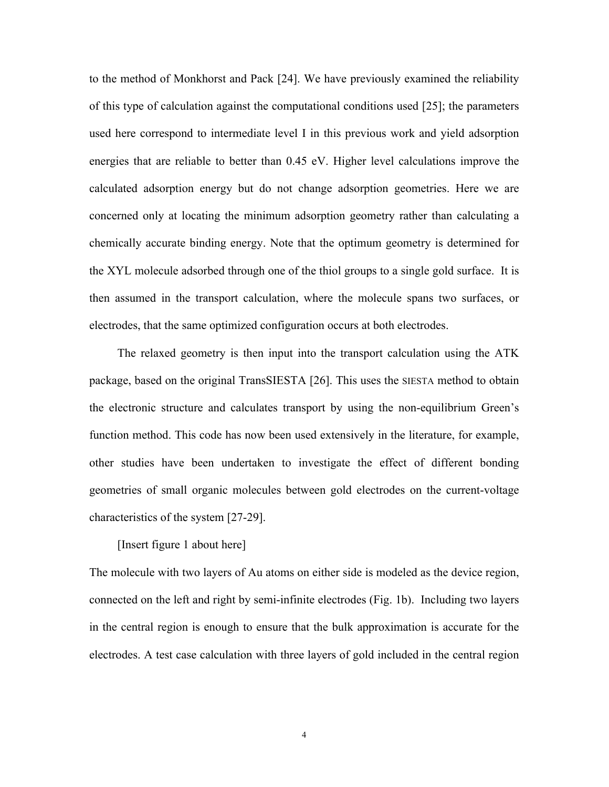to the method of Monkhorst and Pack [24]. We have previously examined the reliability of this type of calculation against the computational conditions used [25]; the parameters used here correspond to intermediate level I in this previous work and yield adsorption energies that are reliable to better than 0.45 eV. Higher level calculations improve the calculated adsorption energy but do not change adsorption geometries. Here we are concerned only at locating the minimum adsorption geometry rather than calculating a chemically accurate binding energy. Note that the optimum geometry is determined for the XYL molecule adsorbed through one of the thiol groups to a single gold surface. It is then assumed in the transport calculation, where the molecule spans two surfaces, or electrodes, that the same optimized configuration occurs at both electrodes.

The relaxed geometry is then input into the transport calculation using the ATK package, based on the original TransSIESTA [26]. This uses the SIESTA method to obtain the electronic structure and calculates transport by using the non-equilibrium Green's function method. This code has now been used extensively in the literature, for example, other studies have been undertaken to investigate the effect of different bonding geometries of small organic molecules between gold electrodes on the current-voltage characteristics of the system [27-29].

## [Insert figure 1 about here]

The molecule with two layers of Au atoms on either side is modeled as the device region, connected on the left and right by semi-infinite electrodes (Fig. 1b). Including two layers in the central region is enough to ensure that the bulk approximation is accurate for the electrodes. A test case calculation with three layers of gold included in the central region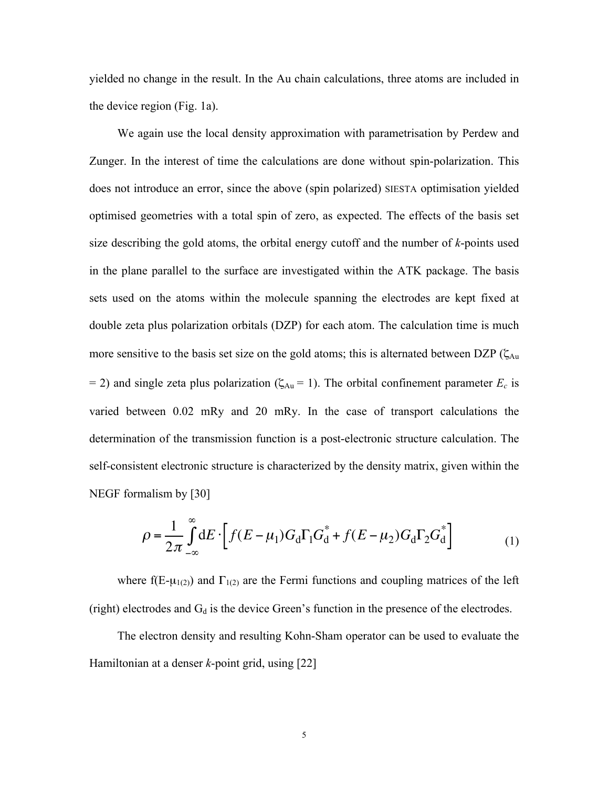yielded no change in the result. In the Au chain calculations, three atoms are included in the device region (Fig. 1a).

We again use the local density approximation with parametrisation by Perdew and Zunger. In the interest of time the calculations are done without spin-polarization. This does not introduce an error, since the above (spin polarized) SIESTA optimisation yielded optimised geometries with a total spin of zero, as expected. The effects of the basis set size describing the gold atoms, the orbital energy cutoff and the number of *k*-points used in the plane parallel to the surface are investigated within the ATK package. The basis sets used on the atoms within the molecule spanning the electrodes are kept fixed at double zeta plus polarization orbitals (DZP) for each atom. The calculation time is much more sensitive to the basis set size on the gold atoms; this is alternated between DZP ( $\zeta_{Au}$  $= 2$ ) and single zeta plus polarization ( $\zeta_{Au} = 1$ ). The orbital confinement parameter  $E_c$  is varied between 0.02 mRy and 20 mRy. In the case of transport calculations the determination of the transmission function is a post-electronic structure calculation. The self-consistent electronic structure is characterized by the density matrix, given within the NEGF formalism by [30]

$$
\rho = \frac{1}{2\pi} \int_{-\infty}^{\infty} dE \cdot \left[ f(E - \mu_1) G_d \Gamma_1 G_d^* + f(E - \mu_2) G_d \Gamma_2 G_d^* \right] \tag{1}
$$

(right) electrodes and  $G_d$  is the device Green's function in the presence of the electrodes. where f(E- $\mu_{1(2)}$ ) and  $\Gamma_{1(2)}$  are the Fermi functions and coupling matrices of the left

The electron density and resulting Kohn-Sham operator can be used to evaluate the Hamiltonian at a denser *k*-point grid, using [22]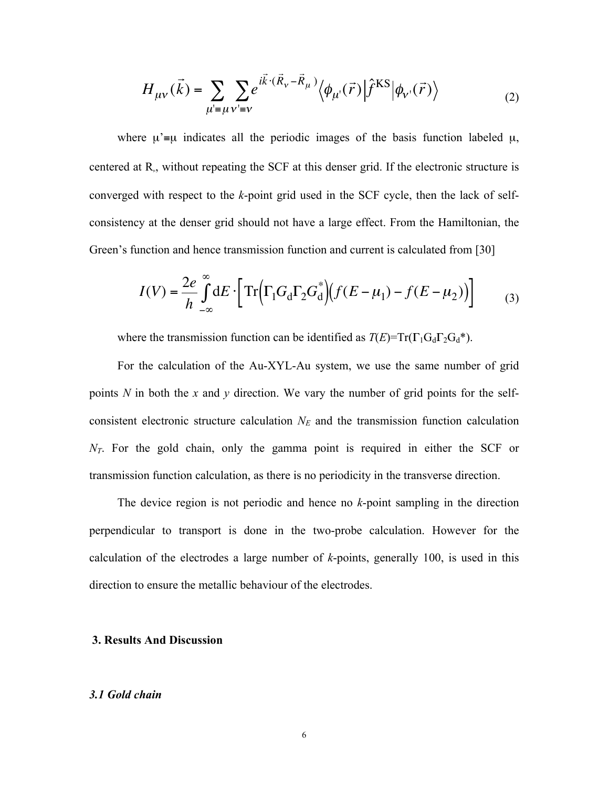$$
H_{\mu\nu}(\vec{k}) = \sum_{\mu'= \mu} \sum_{\nu' = \nu} e^{i\vec{k} \cdot (\vec{R}_{\nu} - \vec{R}_{\mu})} \langle \phi_{\mu'}(\vec{r}) | \hat{f}^{\text{KS}} | \phi_{\nu'}(\vec{r}) \rangle \tag{2}
$$

where  $\mu$ '≡ $\mu$  indicates all the periodic images of the basis function labeled  $\mu$ , centered at  $R_{\mu}$ , without repeating the SCF at this denser grid. If the electronic structure is converged with respect to the *k*-point grid used in the SCF cycle, then the lack of selfconsistency at the denser grid should not have a large effect. From the Hamiltonian, the Green's function and hence transmission function and current is calculated from [30]

$$
I(V) = \frac{2e}{h} \int_{-\infty}^{\infty} dE \cdot \left[ \text{Tr} \Big( \Gamma_1 G_d \Gamma_2 G_d^* \Big) \Big( f(E - \mu_1) - f(E - \mu_2) \Big) \right]
$$
 (3)

where the transmission function can be identified as  $T(E) = Tr(\Gamma_1 G_d \Gamma_2 G_d^*)$ .

For the calculation of the Au-XYL-Au system, we use the same number of grid points *N* in both the *x* and *y* direction. We vary the number of grid points for the selfconsistent electronic structure calculation  $N_E$  and the transmission function calculation *N<sub>T</sub>*. For the gold chain, only the gamma point is required in either the SCF or transmission function calculation, as there is no periodicity in the transverse direction.

The device region is not periodic and hence no *k*-point sampling in the direction perpendicular to transport is done in the two-probe calculation. However for the calculation of the electrodes a large number of *k*-points, generally 100, is used in this direction to ensure the metallic behaviour of the electrodes.

#### **3. Results And Discussion**

#### *3.1 Gold chain*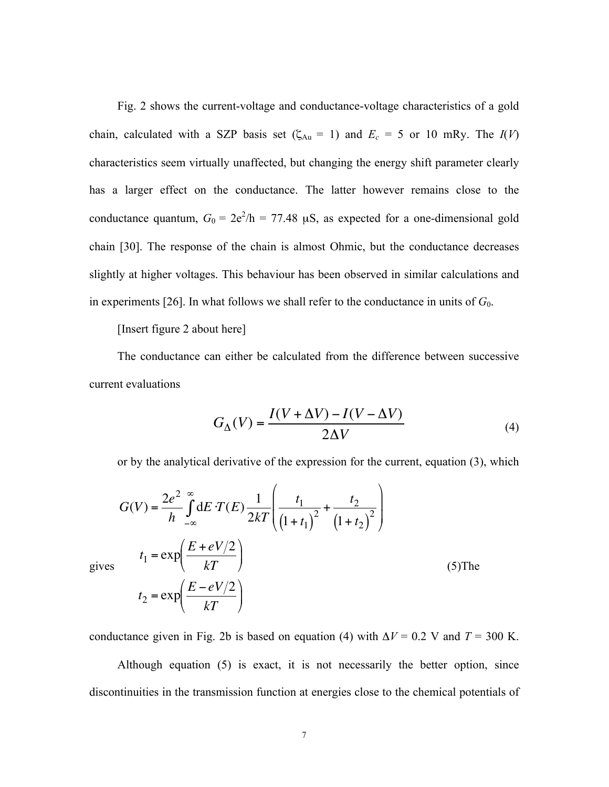Fig. 2 shows the current-voltage and conductance-voltage characteristics of a gold chain, calculated with a SZP basis set ( $\zeta_{Au} = 1$ ) and  $E_c = 5$  or 10 mRy. The  $I(V)$ characteristics seem virtually unaffected, but changing the energy shift parameter clearly has a larger effect on the conductance. The latter however remains close to the conductance quantum,  $G_0 = 2e^2/h = 77.48 \mu S$ , as expected for a one-dimensional gold chain [30]. The response of the chain is almost Ohmic, but the conductance decreases slightly at higher voltages. This behaviour has been observed in similar calculations and in experiments [26]. In what follows we shall refer to the conductance in units of  $G_0$ .

[Insert figure 2 about here]

The conductance can either be calculated from the difference between successive current evaluations

$$
G_{\Delta}(V) = \frac{I(V + \Delta V) - I(V - \Delta V)}{2\Delta V}
$$
\n(4)

or by the analytical derivative of the expression for the current, equation (3), which

$$
G(V) = \frac{2e^2}{h} \int_{-\infty}^{\infty} dE \cdot T(E) \frac{1}{2kT} \left( \frac{t_1}{(1+t_1)^2} + \frac{t_2}{(1+t_2)^2} \right)
$$
  
\n
$$
t_1 = \exp\left(\frac{E + eV/2}{kT}\right)
$$
  
\n
$$
t_2 = \exp\left(\frac{E - eV/2}{kT}\right)
$$
  
\n(5) The

gives

conductance given in Fig. 2b is based on equation (4) with  $\Delta V = 0.2$  V and  $T = 300$  K.

Although equation (5) is exact, it is not necessarily the better option, since discontinuities in the transmission function at energies close to the chemical potentials of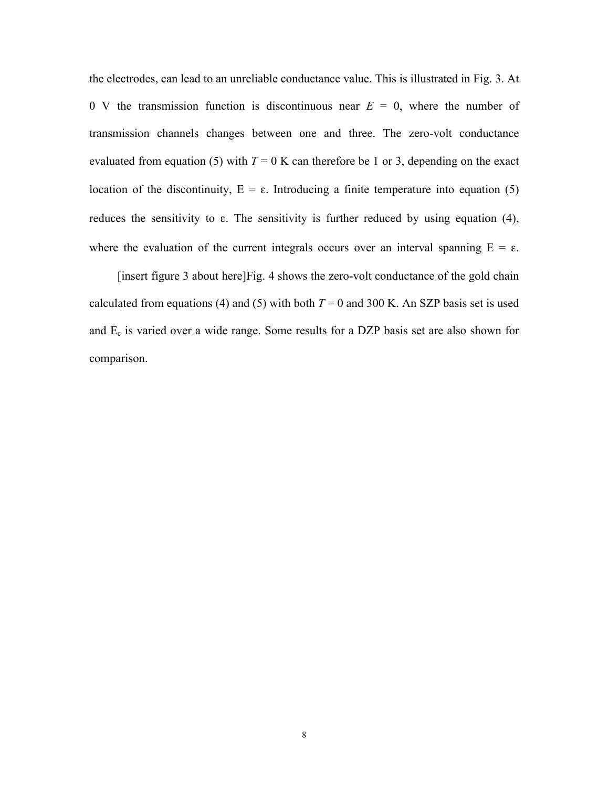the electrodes, can lead to an unreliable conductance value. This is illustrated in Fig. 3. At 0 V the transmission function is discontinuous near  $E = 0$ , where the number of transmission channels changes between one and three. The zero-volt conductance evaluated from equation (5) with  $T = 0$  K can therefore be 1 or 3, depending on the exact location of the discontinuity,  $E = ε$ . Introducing a finite temperature into equation (5) reduces the sensitivity to ε. The sensitivity is further reduced by using equation (4), where the evaluation of the current integrals occurs over an interval spanning  $E = \varepsilon$ .

[insert figure 3 about here]Fig. 4 shows the zero-volt conductance of the gold chain calculated from equations (4) and (5) with both  $T = 0$  and 300 K. An SZP basis set is used and  $E_c$  is varied over a wide range. Some results for a DZP basis set are also shown for comparison.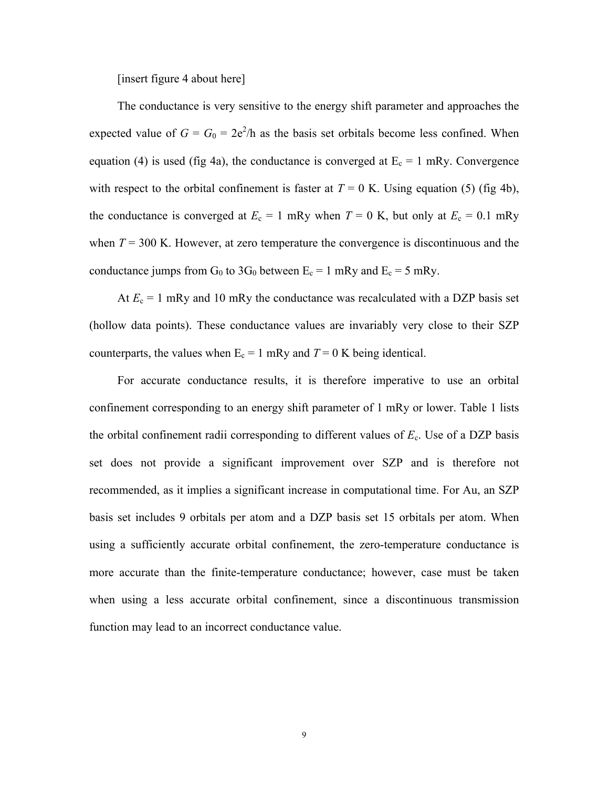[insert figure 4 about here]

The conductance is very sensitive to the energy shift parameter and approaches the expected value of  $G = G_0 = 2e^2/h$  as the basis set orbitals become less confined. When equation (4) is used (fig 4a), the conductance is converged at  $E_c = 1$  mRy. Convergence with respect to the orbital confinement is faster at  $T = 0$  K. Using equation (5) (fig 4b), the conductance is converged at  $E_c = 1$  mRy when  $T = 0$  K, but only at  $E_c = 0.1$  mRy when  $T = 300$  K. However, at zero temperature the convergence is discontinuous and the conductance jumps from  $G_0$  to 3 $G_0$  between  $E_c = 1$  mRy and  $E_c = 5$  mRy.

At  $E_c = 1$  mRy and 10 mRy the conductance was recalculated with a DZP basis set (hollow data points). These conductance values are invariably very close to their SZP counterparts, the values when  $E_c = 1$  mRy and  $T = 0$  K being identical.

For accurate conductance results, it is therefore imperative to use an orbital confinement corresponding to an energy shift parameter of 1 mRy or lower. Table 1 lists the orbital confinement radii corresponding to different values of  $E<sub>c</sub>$ . Use of a DZP basis set does not provide a significant improvement over SZP and is therefore not recommended, as it implies a significant increase in computational time. For Au, an SZP basis set includes 9 orbitals per atom and a DZP basis set 15 orbitals per atom. When using a sufficiently accurate orbital confinement, the zero-temperature conductance is more accurate than the finite-temperature conductance; however, case must be taken when using a less accurate orbital confinement, since a discontinuous transmission function may lead to an incorrect conductance value.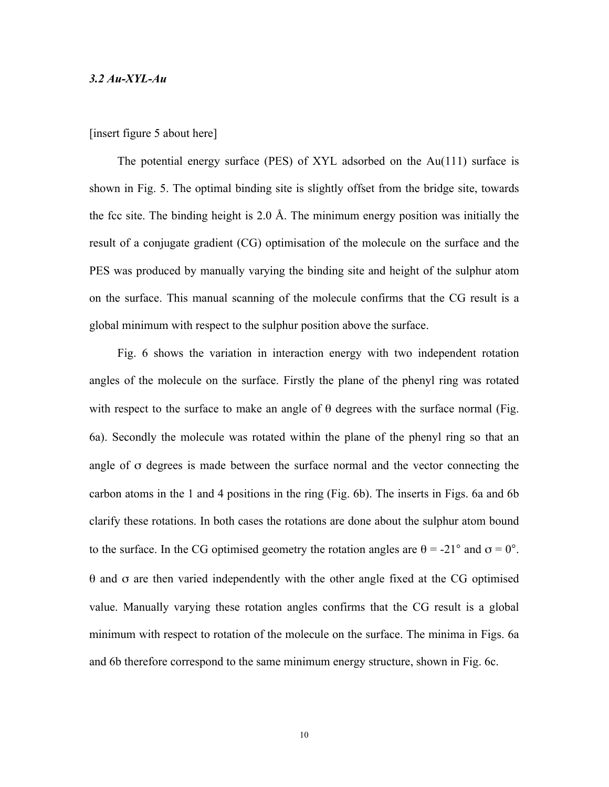#### *3.2 Au-XYL-Au*

#### [insert figure 5 about here]

The potential energy surface (PES) of XYL adsorbed on the Au(111) surface is shown in Fig. 5. The optimal binding site is slightly offset from the bridge site, towards the fcc site. The binding height is 2.0 Å. The minimum energy position was initially the result of a conjugate gradient (CG) optimisation of the molecule on the surface and the PES was produced by manually varying the binding site and height of the sulphur atom on the surface. This manual scanning of the molecule confirms that the CG result is a global minimum with respect to the sulphur position above the surface.

Fig. 6 shows the variation in interaction energy with two independent rotation angles of the molecule on the surface. Firstly the plane of the phenyl ring was rotated with respect to the surface to make an angle of  $\theta$  degrees with the surface normal (Fig. 6a). Secondly the molecule was rotated within the plane of the phenyl ring so that an angle of σ degrees is made between the surface normal and the vector connecting the carbon atoms in the 1 and 4 positions in the ring (Fig. 6b). The inserts in Figs. 6a and 6b clarify these rotations. In both cases the rotations are done about the sulphur atom bound to the surface. In the CG optimised geometry the rotation angles are  $\theta = -21^{\circ}$  and  $\sigma = 0^{\circ}$ . θ and σ are then varied independently with the other angle fixed at the CG optimised value. Manually varying these rotation angles confirms that the CG result is a global minimum with respect to rotation of the molecule on the surface. The minima in Figs. 6a and 6b therefore correspond to the same minimum energy structure, shown in Fig. 6c.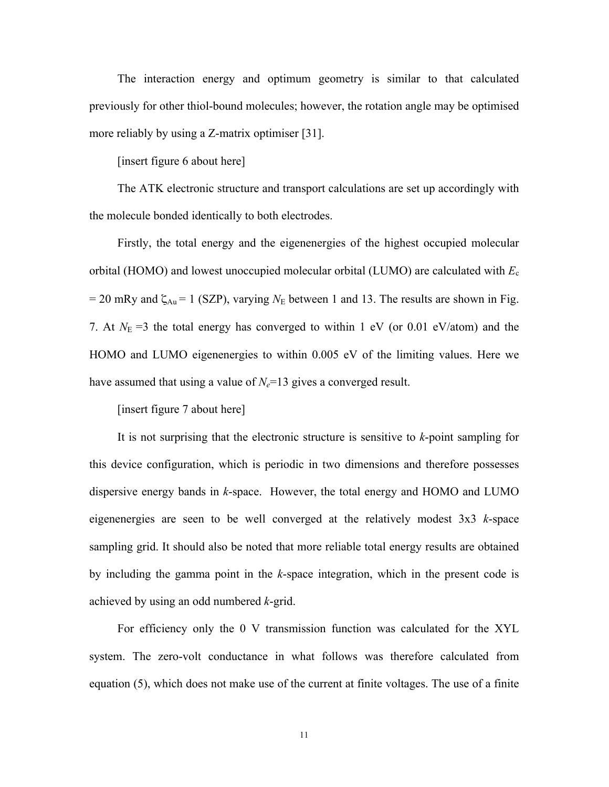The interaction energy and optimum geometry is similar to that calculated previously for other thiol-bound molecules; however, the rotation angle may be optimised more reliably by using a Z-matrix optimiser [31].

[insert figure 6 about here]

The ATK electronic structure and transport calculations are set up accordingly with the molecule bonded identically to both electrodes.

Firstly, the total energy and the eigenenergies of the highest occupied molecular orbital (HOMO) and lowest unoccupied molecular orbital (LUMO) are calculated with *E*<sup>c</sup>  $= 20$  mRy and  $\zeta_{Au} = 1$  (SZP), varying  $N_E$  between 1 and 13. The results are shown in Fig. 7. At  $N_E$  =3 the total energy has converged to within 1 eV (or 0.01 eV/atom) and the HOMO and LUMO eigenenergies to within 0.005 eV of the limiting values. Here we have assumed that using a value of  $N_e=13$  gives a converged result.

[insert figure 7 about here]

It is not surprising that the electronic structure is sensitive to *k*-point sampling for this device configuration, which is periodic in two dimensions and therefore possesses dispersive energy bands in *k*-space. However, the total energy and HOMO and LUMO eigenenergies are seen to be well converged at the relatively modest 3x3 *k*-space sampling grid. It should also be noted that more reliable total energy results are obtained by including the gamma point in the *k*-space integration, which in the present code is achieved by using an odd numbered *k*-grid.

For efficiency only the 0 V transmission function was calculated for the XYL system. The zero-volt conductance in what follows was therefore calculated from equation (5), which does not make use of the current at finite voltages. The use of a finite

11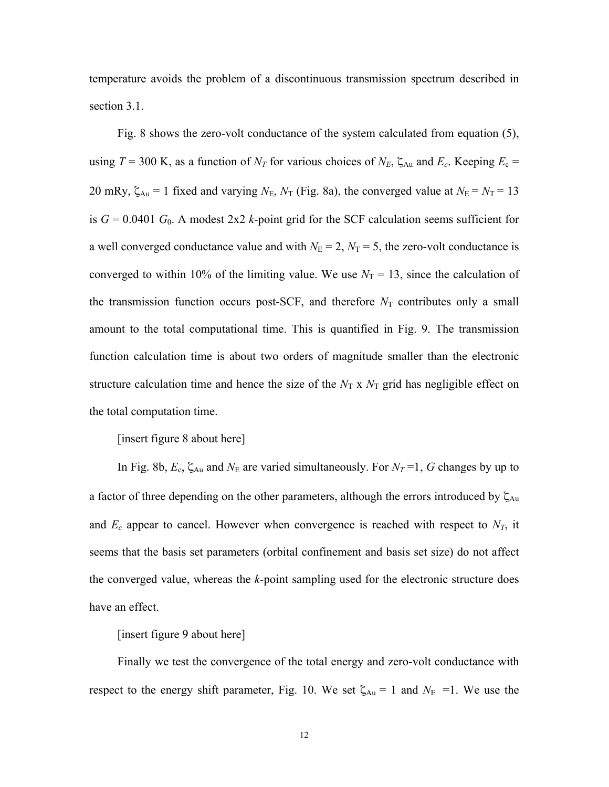temperature avoids the problem of a discontinuous transmission spectrum described in section 3.1.

Fig. 8 shows the zero-volt conductance of the system calculated from equation (5), using  $T = 300$  K, as a function of  $N_T$  for various choices of  $N_E$ ,  $\zeta_{Au}$  and  $E_c$ . Keeping  $E_c =$ 20 mRy,  $\zeta_{Au} = 1$  fixed and varying  $N_E$ ,  $N_T$  (Fig. 8a), the converged value at  $N_E = N_T = 13$ is  $G = 0.0401$   $G_0$ . A modest 2x2 *k*-point grid for the SCF calculation seems sufficient for a well converged conductance value and with  $N_E = 2$ ,  $N_T = 5$ , the zero-volt conductance is converged to within 10% of the limiting value. We use  $N_T = 13$ , since the calculation of the transmission function occurs post-SCF, and therefore  $N_T$  contributes only a small amount to the total computational time. This is quantified in Fig. 9. The transmission function calculation time is about two orders of magnitude smaller than the electronic structure calculation time and hence the size of the  $N<sub>T</sub>$  x  $N<sub>T</sub>$  grid has negligible effect on the total computation time.

[insert figure 8 about here]

In Fig. 8b,  $E_c$ ,  $\zeta_{Au}$  and  $N_E$  are varied simultaneously. For  $N_T$ =1, G changes by up to a factor of three depending on the other parameters, although the errors introduced by  $\zeta_{Au}$ and  $E_c$  appear to cancel. However when convergence is reached with respect to  $N_T$ , it seems that the basis set parameters (orbital confinement and basis set size) do not affect the converged value, whereas the *k*-point sampling used for the electronic structure does have an effect.

[insert figure 9 about here]

Finally we test the convergence of the total energy and zero-volt conductance with respect to the energy shift parameter, Fig. 10. We set  $\zeta_{Au} = 1$  and  $N_E = 1$ . We use the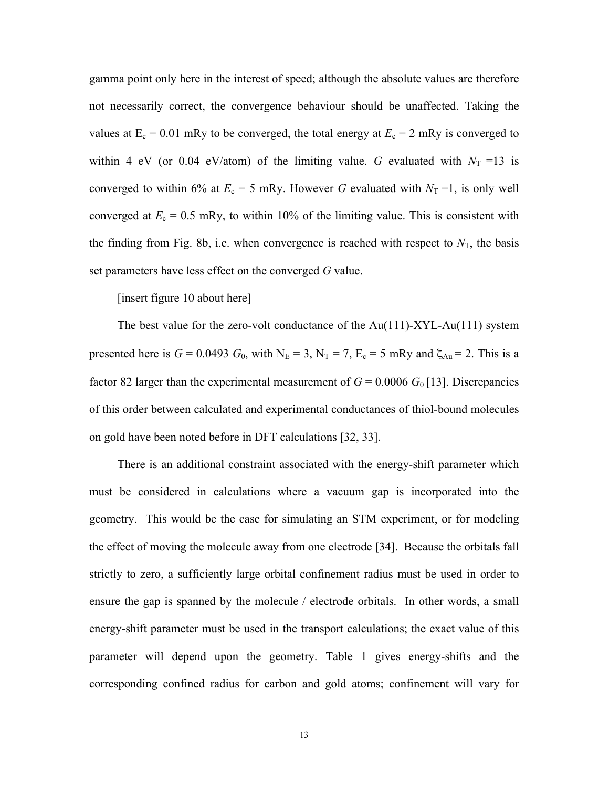gamma point only here in the interest of speed; although the absolute values are therefore not necessarily correct, the convergence behaviour should be unaffected. Taking the values at  $E_c = 0.01$  mRy to be converged, the total energy at  $E_c = 2$  mRy is converged to within 4 eV (or 0.04 eV/atom) of the limiting value. *G* evaluated with  $N_T = 13$  is converged to within 6% at  $E_c = 5$  mRy. However *G* evaluated with  $N_T = 1$ , is only well converged at  $E_c = 0.5$  mRy, to within 10% of the limiting value. This is consistent with the finding from Fig. 8b, i.e. when convergence is reached with respect to  $N<sub>T</sub>$ , the basis set parameters have less effect on the converged *G* value.

[insert figure 10 about here]

The best value for the zero-volt conductance of the Au(111)-XYL-Au(111) system presented here is  $G = 0.0493$   $G_0$ , with  $N_E = 3$ ,  $N_T = 7$ ,  $E_c = 5$  mRy and  $\zeta_{Au} = 2$ . This is a factor 82 larger than the experimental measurement of  $G = 0.0006$   $G<sub>0</sub>[13]$ . Discrepancies of this order between calculated and experimental conductances of thiol-bound molecules on gold have been noted before in DFT calculations [32, 33].

There is an additional constraint associated with the energy-shift parameter which must be considered in calculations where a vacuum gap is incorporated into the geometry. This would be the case for simulating an STM experiment, or for modeling the effect of moving the molecule away from one electrode [34]. Because the orbitals fall strictly to zero, a sufficiently large orbital confinement radius must be used in order to ensure the gap is spanned by the molecule / electrode orbitals. In other words, a small energy-shift parameter must be used in the transport calculations; the exact value of this parameter will depend upon the geometry. Table 1 gives energy-shifts and the corresponding confined radius for carbon and gold atoms; confinement will vary for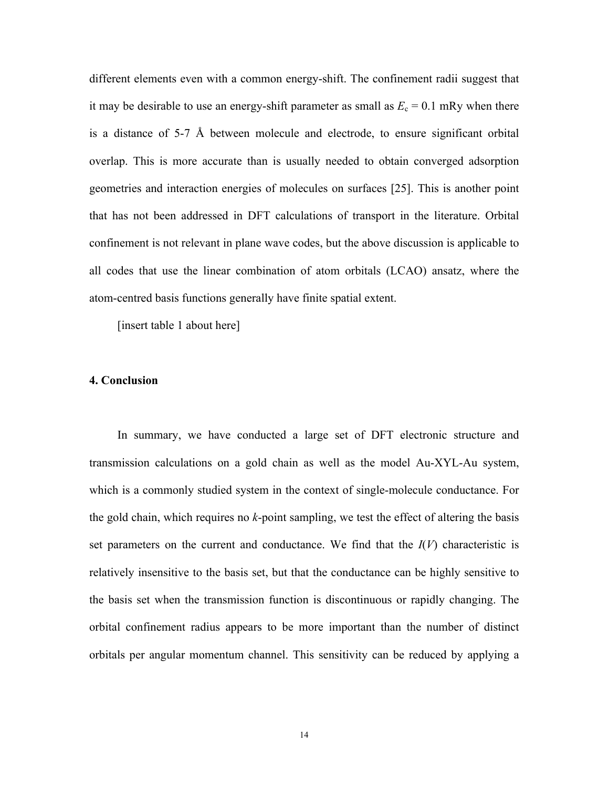different elements even with a common energy-shift. The confinement radii suggest that it may be desirable to use an energy-shift parameter as small as  $E_c = 0.1$  mRy when there is a distance of 5-7 Å between molecule and electrode, to ensure significant orbital overlap. This is more accurate than is usually needed to obtain converged adsorption geometries and interaction energies of molecules on surfaces [25]. This is another point that has not been addressed in DFT calculations of transport in the literature. Orbital confinement is not relevant in plane wave codes, but the above discussion is applicable to all codes that use the linear combination of atom orbitals (LCAO) ansatz, where the atom-centred basis functions generally have finite spatial extent.

[insert table 1 about here]

#### **4. Conclusion**

In summary, we have conducted a large set of DFT electronic structure and transmission calculations on a gold chain as well as the model Au-XYL-Au system, which is a commonly studied system in the context of single-molecule conductance. For the gold chain, which requires no *k*-point sampling, we test the effect of altering the basis set parameters on the current and conductance. We find that the  $I(V)$  characteristic is relatively insensitive to the basis set, but that the conductance can be highly sensitive to the basis set when the transmission function is discontinuous or rapidly changing. The orbital confinement radius appears to be more important than the number of distinct orbitals per angular momentum channel. This sensitivity can be reduced by applying a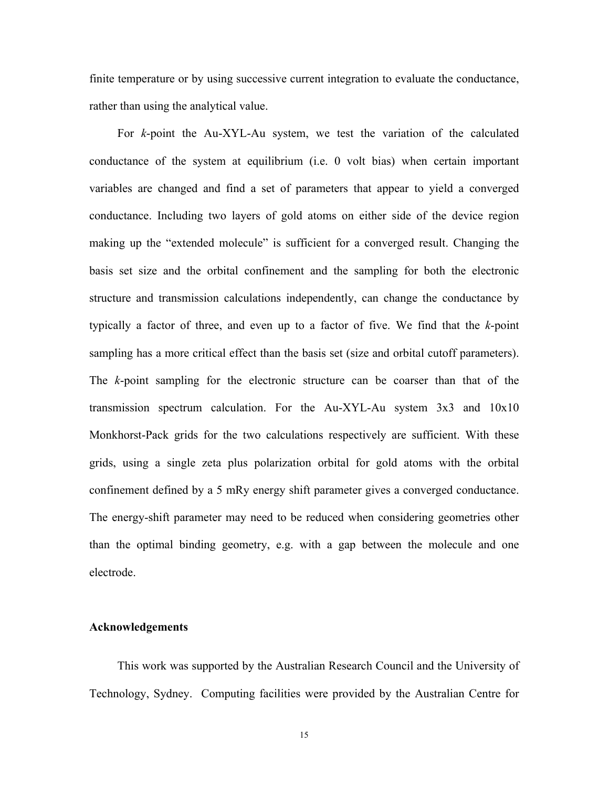finite temperature or by using successive current integration to evaluate the conductance, rather than using the analytical value.

For *k*-point the Au-XYL-Au system, we test the variation of the calculated conductance of the system at equilibrium (i.e. 0 volt bias) when certain important variables are changed and find a set of parameters that appear to yield a converged conductance. Including two layers of gold atoms on either side of the device region making up the "extended molecule" is sufficient for a converged result. Changing the basis set size and the orbital confinement and the sampling for both the electronic structure and transmission calculations independently, can change the conductance by typically a factor of three, and even up to a factor of five. We find that the *k*-point sampling has a more critical effect than the basis set (size and orbital cutoff parameters). The *k*-point sampling for the electronic structure can be coarser than that of the transmission spectrum calculation. For the Au-XYL-Au system 3x3 and 10x10 Monkhorst-Pack grids for the two calculations respectively are sufficient. With these grids, using a single zeta plus polarization orbital for gold atoms with the orbital confinement defined by a 5 mRy energy shift parameter gives a converged conductance. The energy-shift parameter may need to be reduced when considering geometries other than the optimal binding geometry, e.g. with a gap between the molecule and one electrode.

#### **Acknowledgements**

This work was supported by the Australian Research Council and the University of Technology, Sydney. Computing facilities were provided by the Australian Centre for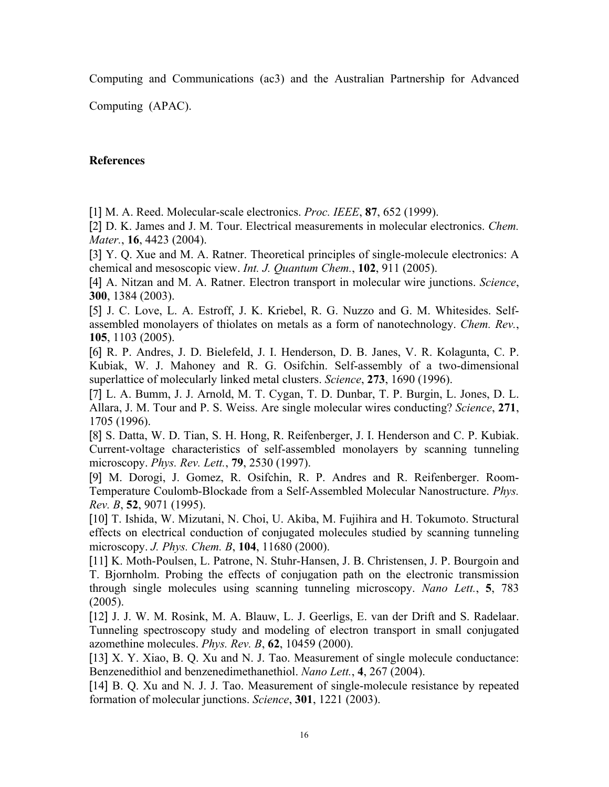Computing and Communications (ac3) and the Australian Partnership for Advanced

Computing (APAC).

# **References**

[1] M. A. Reed. Molecular-scale electronics. *Proc. IEEE*, **87**, 652 (1999).

[2] D. K. James and J. M. Tour. Electrical measurements in molecular electronics. *Chem. Mater.*, **16**, 4423 (2004).

[3] Y. Q. Xue and M. A. Ratner. Theoretical principles of single-molecule electronics: A chemical and mesoscopic view. *Int. J. Quantum Chem.*, **102**, 911 (2005).

[4] A. Nitzan and M. A. Ratner. Electron transport in molecular wire junctions. *Science*, **300**, 1384 (2003).

[5] J. C. Love, L. A. Estroff, J. K. Kriebel, R. G. Nuzzo and G. M. Whitesides. Selfassembled monolayers of thiolates on metals as a form of nanotechnology. *Chem. Rev.*, **105**, 1103 (2005).

[6] R. P. Andres, J. D. Bielefeld, J. I. Henderson, D. B. Janes, V. R. Kolagunta, C. P. Kubiak, W. J. Mahoney and R. G. Osifchin. Self-assembly of a two-dimensional superlattice of molecularly linked metal clusters. *Science*, **273**, 1690 (1996).

[7] L. A. Bumm, J. J. Arnold, M. T. Cygan, T. D. Dunbar, T. P. Burgin, L. Jones, D. L. Allara, J. M. Tour and P. S. Weiss. Are single molecular wires conducting? *Science*, **271**, 1705 (1996).

[8] S. Datta, W. D. Tian, S. H. Hong, R. Reifenberger, J. I. Henderson and C. P. Kubiak. Current-voltage characteristics of self-assembled monolayers by scanning tunneling microscopy. *Phys. Rev. Lett.*, **79**, 2530 (1997).

[9] M. Dorogi, J. Gomez, R. Osifchin, R. P. Andres and R. Reifenberger. Room-Temperature Coulomb-Blockade from a Self-Assembled Molecular Nanostructure. *Phys. Rev. B*, **52**, 9071 (1995).

[10] T. Ishida, W. Mizutani, N. Choi, U. Akiba, M. Fujihira and H. Tokumoto. Structural effects on electrical conduction of conjugated molecules studied by scanning tunneling microscopy. *J. Phys. Chem. B*, **104**, 11680 (2000).

[11] K. Moth-Poulsen, L. Patrone, N. Stuhr-Hansen, J. B. Christensen, J. P. Bourgoin and T. Bjornholm. Probing the effects of conjugation path on the electronic transmission through single molecules using scanning tunneling microscopy. *Nano Lett.*, **5**, 783 (2005).

[12] J. J. W. M. Rosink, M. A. Blauw, L. J. Geerligs, E. van der Drift and S. Radelaar. Tunneling spectroscopy study and modeling of electron transport in small conjugated azomethine molecules. *Phys. Rev. B*, **62**, 10459 (2000).

[13] X. Y. Xiao, B. O. Xu and N. J. Tao. Measurement of single molecule conductance: Benzenedithiol and benzenedimethanethiol. *Nano Lett.*, **4**, 267 (2004).

[14] B. Q. Xu and N. J. J. Tao. Measurement of single-molecule resistance by repeated formation of molecular junctions. *Science*, **301**, 1221 (2003).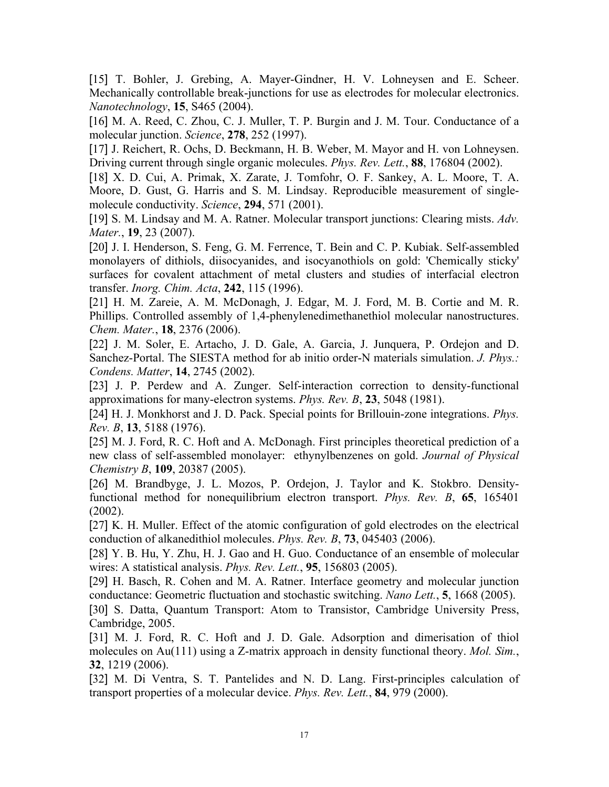[15] T. Bohler, J. Grebing, A. Mayer-Gindner, H. V. Lohneysen and E. Scheer. Mechanically controllable break-junctions for use as electrodes for molecular electronics. *Nanotechnology*, **15**, S465 (2004).

[16] M. A. Reed, C. Zhou, C. J. Muller, T. P. Burgin and J. M. Tour. Conductance of a molecular junction. *Science*, **278**, 252 (1997).

[17] J. Reichert, R. Ochs, D. Beckmann, H. B. Weber, M. Mayor and H. von Lohneysen. Driving current through single organic molecules. *Phys. Rev. Lett.*, **88**, 176804 (2002).

[18] X. D. Cui, A. Primak, X. Zarate, J. Tomfohr, O. F. Sankey, A. L. Moore, T. A. Moore, D. Gust, G. Harris and S. M. Lindsay. Reproducible measurement of singlemolecule conductivity. *Science*, **294**, 571 (2001).

[19] S. M. Lindsay and M. A. Ratner. Molecular transport junctions: Clearing mists. *Adv. Mater.*, **19**, 23 (2007).

[20] J. I. Henderson, S. Feng, G. M. Ferrence, T. Bein and C. P. Kubiak. Self-assembled monolayers of dithiols, diisocyanides, and isocyanothiols on gold: 'Chemically sticky' surfaces for covalent attachment of metal clusters and studies of interfacial electron transfer. *Inorg. Chim. Acta*, **242**, 115 (1996).

[21] H. M. Zareie, A. M. McDonagh, J. Edgar, M. J. Ford, M. B. Cortie and M. R. Phillips. Controlled assembly of 1,4-phenylenedimethanethiol molecular nanostructures. *Chem. Mater.*, **18**, 2376 (2006).

[22] J. M. Soler, E. Artacho, J. D. Gale, A. Garcia, J. Junquera, P. Ordejon and D. Sanchez-Portal. The SIESTA method for ab initio order-N materials simulation. *J. Phys.: Condens. Matter*, **14**, 2745 (2002).

[23] J. P. Perdew and A. Zunger. Self-interaction correction to density-functional approximations for many-electron systems. *Phys. Rev. B*, **23**, 5048 (1981).

[24] H. J. Monkhorst and J. D. Pack. Special points for Brillouin-zone integrations. *Phys. Rev. B*, **13**, 5188 (1976).

[25] M. J. Ford, R. C. Hoft and A. McDonagh. First principles theoretical prediction of a new class of self-assembled monolayer: ethynylbenzenes on gold. *Journal of Physical Chemistry B*, **109**, 20387 (2005).

[26] M. Brandbyge, J. L. Mozos, P. Ordejon, J. Taylor and K. Stokbro. Densityfunctional method for nonequilibrium electron transport. *Phys. Rev. B*, **65**, 165401 (2002).

[27] K. H. Muller. Effect of the atomic configuration of gold electrodes on the electrical conduction of alkanedithiol molecules. *Phys. Rev. B*, **73**, 045403 (2006).

[28] Y. B. Hu, Y. Zhu, H. J. Gao and H. Guo. Conductance of an ensemble of molecular wires: A statistical analysis. *Phys. Rev. Lett.*, **95**, 156803 (2005).

[29] H. Basch, R. Cohen and M. A. Ratner. Interface geometry and molecular junction conductance: Geometric fluctuation and stochastic switching. *Nano Lett.*, **5**, 1668 (2005).

[30] S. Datta, Quantum Transport: Atom to Transistor, Cambridge University Press, Cambridge, 2005.

[31] M. J. Ford, R. C. Hoft and J. D. Gale. Adsorption and dimerisation of thiol molecules on Au(111) using a Z-matrix approach in density functional theory. *Mol. Sim.*, **32**, 1219 (2006).

[32] M. Di Ventra, S. T. Pantelides and N. D. Lang. First-principles calculation of transport properties of a molecular device. *Phys. Rev. Lett.*, **84**, 979 (2000).